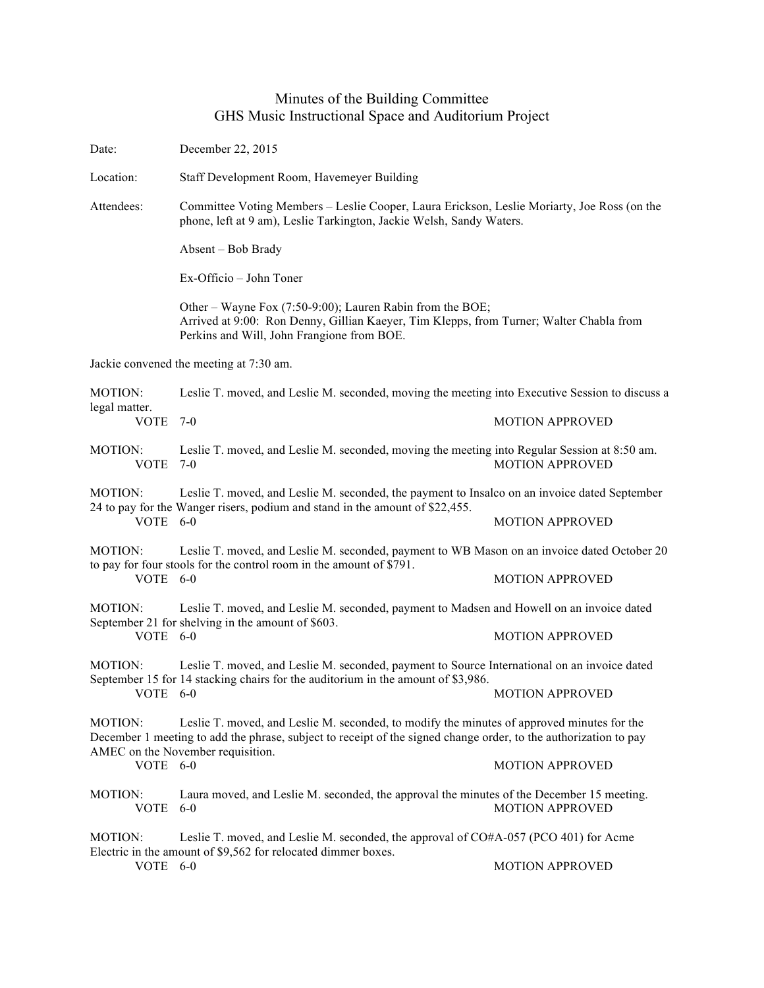## Minutes of the Building Committee GHS Music Instructional Space and Auditorium Project

Date: December 22, 2015 Location: Staff Development Room, Havemeyer Building Attendees: Committee Voting Members – Leslie Cooper, Laura Erickson, Leslie Moriarty, Joe Ross (on the phone, left at 9 am), Leslie Tarkington, Jackie Welsh, Sandy Waters. Absent – Bob Brady Ex-Officio – John Toner Other – Wayne Fox (7:50-9:00); Lauren Rabin from the BOE; Arrived at 9:00: Ron Denny, Gillian Kaeyer, Tim Klepps, from Turner; Walter Chabla from Perkins and Will, John Frangione from BOE. Jackie convened the meeting at 7:30 am. MOTION: Leslie T. moved, and Leslie M. seconded, moving the meeting into Executive Session to discuss a legal matter. VOTE 7-0 MOTION APPROVED MOTION: Leslie T. moved, and Leslie M. seconded, moving the meeting into Regular Session at 8:50 am. VOTE 7-0 MOTION APPROVED MOTION: Leslie T. moved, and Leslie M. seconded, the payment to Insalco on an invoice dated September 24 to pay for the Wanger risers, podium and stand in the amount of \$22,455. VOTE 6-0 MOTION APPROVED MOTION: Leslie T. moved, and Leslie M. seconded, payment to WB Mason on an invoice dated October 20 to pay for four stools for the control room in the amount of \$791. VOTE 6-0 MOTION APPROVED MOTION: Leslie T. moved, and Leslie M. seconded, payment to Madsen and Howell on an invoice dated September 21 for shelving in the amount of \$603. VOTE 6-0 MOTION APPROVED MOTION: Leslie T. moved, and Leslie M. seconded, payment to Source International on an invoice dated September 15 for 14 stacking chairs for the auditorium in the amount of \$3,986. VOTE 6-0 MOTION APPROVED MOTION: Leslie T. moved, and Leslie M. seconded, to modify the minutes of approved minutes for the December 1 meeting to add the phrase, subject to receipt of the signed change order, to the authorization to pay AMEC on the November requisition. VOTE 6-0 MOTION APPROVED MOTION: Laura moved, and Leslie M. seconded, the approval the minutes of the December 15 meeting. VOTE 6-0 MOTION APPROVED MOTION: Leslie T. moved, and Leslie M. seconded, the approval of CO#A-057 (PCO 401) for Acme Electric in the amount of \$9,562 for relocated dimmer boxes. VOTE 6-0 MOTION APPROVED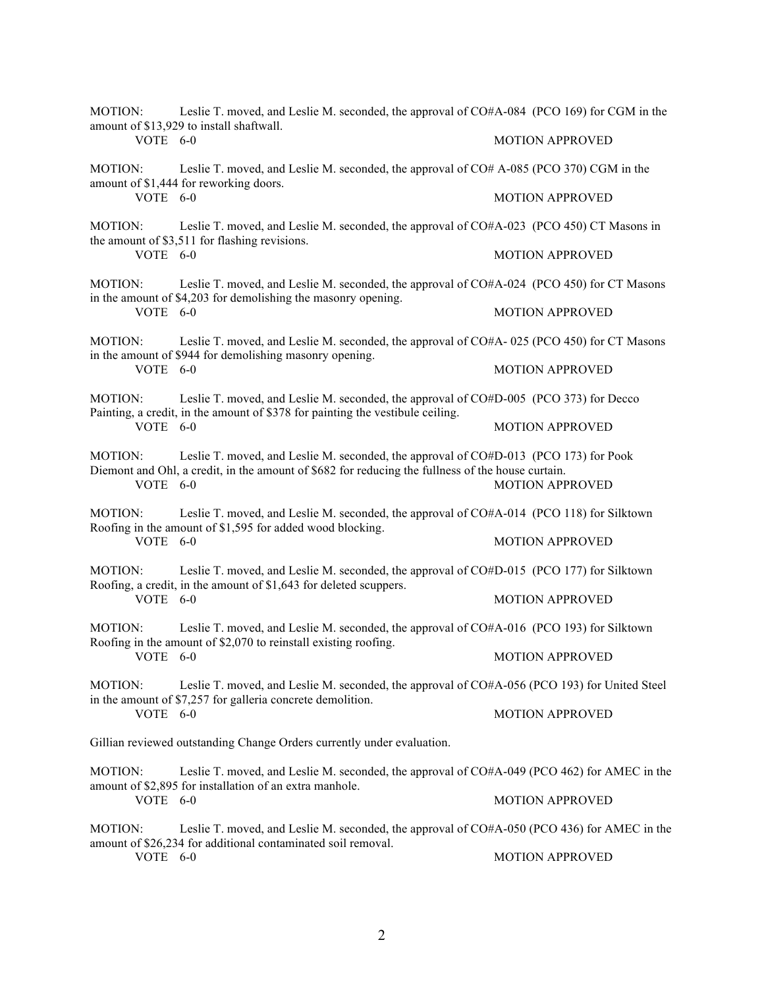| MOTION:                                                                | Leslie T. moved, and Leslie M. seconded, the approval of CO#A-084 (PCO 169) for CGM in the<br>amount of \$13,929 to install shaftwall.                                                    |                        |
|------------------------------------------------------------------------|-------------------------------------------------------------------------------------------------------------------------------------------------------------------------------------------|------------------------|
| VOTE 6-0                                                               |                                                                                                                                                                                           | <b>MOTION APPROVED</b> |
| MOTION:<br>VOTE 6-0                                                    | Leslie T. moved, and Leslie M. seconded, the approval of CO# A-085 (PCO 370) CGM in the<br>amount of \$1,444 for reworking doors.                                                         |                        |
|                                                                        |                                                                                                                                                                                           | <b>MOTION APPROVED</b> |
| MOTION:<br>VOTE 6-0                                                    | Leslie T. moved, and Leslie M. seconded, the approval of CO#A-023 (PCO 450) CT Masons in<br>the amount of \$3,511 for flashing revisions.                                                 |                        |
|                                                                        |                                                                                                                                                                                           | <b>MOTION APPROVED</b> |
| <b>MOTION:</b><br>VOTE 6-0                                             | Leslie T. moved, and Leslie M. seconded, the approval of CO#A-024 (PCO 450) for CT Masons<br>in the amount of \$4,203 for demolishing the masonry opening.                                |                        |
|                                                                        |                                                                                                                                                                                           | <b>MOTION APPROVED</b> |
| MOTION:                                                                | Leslie T. moved, and Leslie M. seconded, the approval of CO#A- 025 (PCO 450) for CT Masons<br>in the amount of \$944 for demolishing masonry opening.                                     |                        |
| VOTE 6-0                                                               |                                                                                                                                                                                           | <b>MOTION APPROVED</b> |
| <b>MOTION:</b><br>VOTE 6-0                                             | Leslie T. moved, and Leslie M. seconded, the approval of CO#D-005 (PCO 373) for Decco<br>Painting, a credit, in the amount of \$378 for painting the vestibule ceiling.                   |                        |
|                                                                        |                                                                                                                                                                                           | <b>MOTION APPROVED</b> |
| <b>MOTION:</b><br>VOTE 6-0                                             | Leslie T. moved, and Leslie M. seconded, the approval of CO#D-013 (PCO 173) for Pook<br>Diemont and Ohl, a credit, in the amount of \$682 for reducing the fullness of the house curtain. | <b>MOTION APPROVED</b> |
|                                                                        |                                                                                                                                                                                           |                        |
| MOTION:<br>VOTE 6-0                                                    | Leslie T. moved, and Leslie M. seconded, the approval of CO#A-014 (PCO 118) for Silktown<br>Roofing in the amount of \$1,595 for added wood blocking.                                     |                        |
|                                                                        |                                                                                                                                                                                           | <b>MOTION APPROVED</b> |
| MOTION:<br>VOTE 6-0                                                    | Leslie T. moved, and Leslie M. seconded, the approval of CO#D-015 (PCO 177) for Silktown<br>Roofing, a credit, in the amount of \$1,643 for deleted scuppers.                             |                        |
|                                                                        |                                                                                                                                                                                           | <b>MOTION APPROVED</b> |
| <b>MOTION:</b><br>VOTE 6-0                                             | Leslie T. moved, and Leslie M. seconded, the approval of CO#A-016 (PCO 193) for Silktown<br>Roofing in the amount of \$2,070 to reinstall existing roofing.                               |                        |
|                                                                        |                                                                                                                                                                                           | <b>MOTION APPROVED</b> |
| <b>MOTION:</b><br>VOTE 6-0                                             | Leslie T. moved, and Leslie M. seconded, the approval of CO#A-056 (PCO 193) for United Steel<br>in the amount of \$7,257 for galleria concrete demolition.                                |                        |
|                                                                        |                                                                                                                                                                                           | <b>MOTION APPROVED</b> |
| Gillian reviewed outstanding Change Orders currently under evaluation. |                                                                                                                                                                                           |                        |
| MOTION:<br>VOTE 6-0                                                    | Leslie T. moved, and Leslie M. seconded, the approval of CO#A-049 (PCO 462) for AMEC in the<br>amount of \$2,895 for installation of an extra manhole.                                    |                        |
|                                                                        |                                                                                                                                                                                           | <b>MOTION APPROVED</b> |
| MOTION:<br>VOTE 6-0                                                    | Leslie T. moved, and Leslie M. seconded, the approval of CO#A-050 (PCO 436) for AMEC in the<br>amount of \$26,234 for additional contaminated soil removal.                               |                        |
|                                                                        |                                                                                                                                                                                           | <b>MOTION APPROVED</b> |